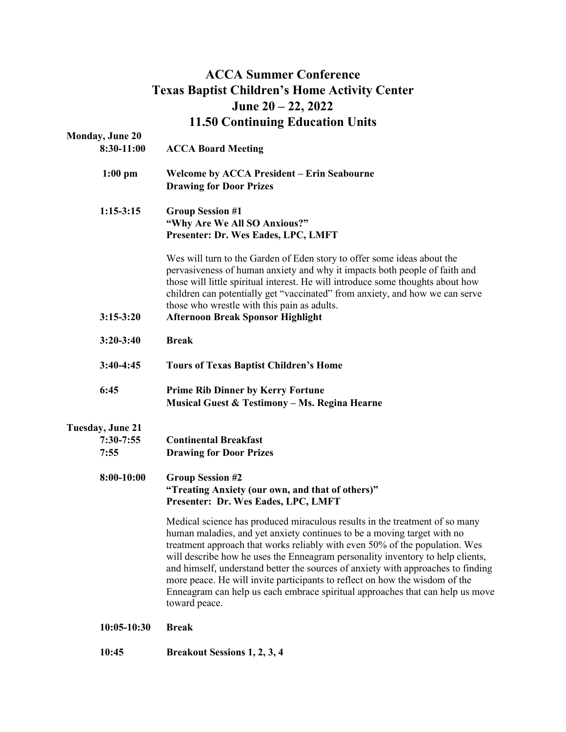# **ACCA Summer Conference Texas Baptist Children's Home Activity Center June 20 – 22, 2022 11.50 Continuing Education Units**

| <b>Monday, June 20</b><br>8:30-11:00           | <b>ACCA Board Meeting</b>                                                                                                                                                                                                                                                                                                                                                                                                                                                                                                                                                                    |  |
|------------------------------------------------|----------------------------------------------------------------------------------------------------------------------------------------------------------------------------------------------------------------------------------------------------------------------------------------------------------------------------------------------------------------------------------------------------------------------------------------------------------------------------------------------------------------------------------------------------------------------------------------------|--|
| $1:00$ pm                                      | <b>Welcome by ACCA President – Erin Seabourne</b><br><b>Drawing for Door Prizes</b>                                                                                                                                                                                                                                                                                                                                                                                                                                                                                                          |  |
| $1:15-3:15$                                    | <b>Group Session #1</b><br>"Why Are We All SO Anxious?"<br>Presenter: Dr. Wes Eades, LPC, LMFT                                                                                                                                                                                                                                                                                                                                                                                                                                                                                               |  |
| $3:15-3:20$                                    | Wes will turn to the Garden of Eden story to offer some ideas about the<br>pervasiveness of human anxiety and why it impacts both people of faith and<br>those will little spiritual interest. He will introduce some thoughts about how<br>children can potentially get "vaccinated" from anxiety, and how we can serve<br>those who wrestle with this pain as adults.<br><b>Afternoon Break Sponsor Highlight</b>                                                                                                                                                                          |  |
| $3:20-3:40$                                    | <b>Break</b>                                                                                                                                                                                                                                                                                                                                                                                                                                                                                                                                                                                 |  |
| $3:40-4:45$                                    | <b>Tours of Texas Baptist Children's Home</b>                                                                                                                                                                                                                                                                                                                                                                                                                                                                                                                                                |  |
| 6:45                                           | <b>Prime Rib Dinner by Kerry Fortune</b><br>Musical Guest & Testimony - Ms. Regina Hearne                                                                                                                                                                                                                                                                                                                                                                                                                                                                                                    |  |
| <b>Tuesday, June 21</b><br>$7:30-7:55$<br>7:55 | <b>Continental Breakfast</b><br><b>Drawing for Door Prizes</b>                                                                                                                                                                                                                                                                                                                                                                                                                                                                                                                               |  |
| 8:00-10:00                                     | <b>Group Session #2</b><br>"Treating Anxiety (our own, and that of others)"<br>Presenter: Dr. Wes Eades, LPC, LMFT                                                                                                                                                                                                                                                                                                                                                                                                                                                                           |  |
|                                                | Medical science has produced miraculous results in the treatment of so many<br>human maladies, and yet anxiety continues to be a moving target with no<br>treatment approach that works reliably with even 50% of the population. Wes<br>will describe how he uses the Enneagram personality inventory to help clients,<br>and himself, understand better the sources of anxiety with approaches to finding<br>more peace. He will invite participants to reflect on how the wisdom of the<br>Enneagram can help us each embrace spiritual approaches that can help us move<br>toward peace. |  |
| $10:05-10:30$                                  | <b>Break</b>                                                                                                                                                                                                                                                                                                                                                                                                                                                                                                                                                                                 |  |

**10:45 Breakout Sessions 1, 2, 3, 4**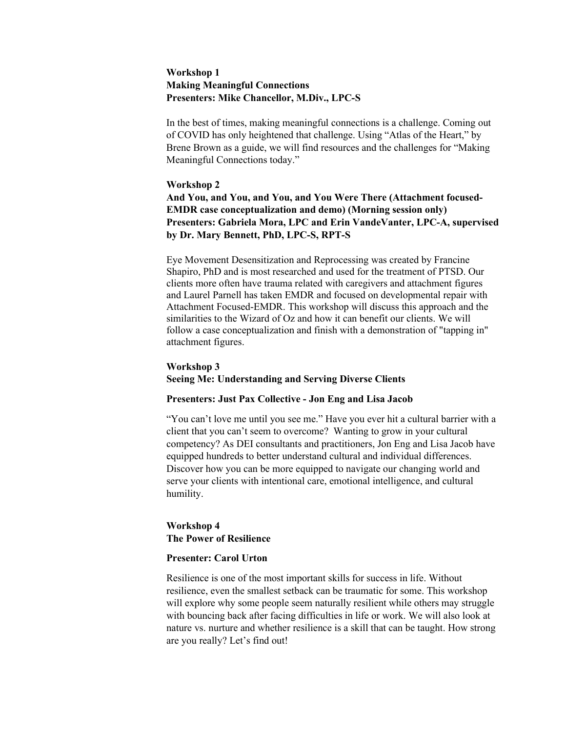### **Workshop 1 Making Meaningful Connections Presenters: Mike Chancellor, M.Div., LPC-S**

In the best of times, making meaningful connections is a challenge. Coming out of COVID has only heightened that challenge. Using "Atlas of the Heart," by Brene Brown as a guide, we will find resources and the challenges for "Making Meaningful Connections today."

#### **Workshop 2**

**And You, and You, and You, and You Were There (Attachment focused-EMDR case conceptualization and demo) (Morning session only) Presenters: Gabriela Mora, LPC and Erin VandeVanter, LPC-A, supervised by Dr. Mary Bennett, PhD, LPC-S, RPT-S**

Eye Movement Desensitization and Reprocessing was created by Francine Shapiro, PhD and is most researched and used for the treatment of PTSD. Our clients more often have trauma related with caregivers and attachment figures and Laurel Parnell has taken EMDR and focused on developmental repair with Attachment Focused-EMDR. This workshop will discuss this approach and the similarities to the Wizard of Oz and how it can benefit our clients. We will follow a case conceptualization and finish with a demonstration of "tapping in" attachment figures.

## **Workshop 3**

**Seeing Me: Understanding and Serving Diverse Clients**

## **Presenters: Just Pax Collective - Jon Eng and Lisa Jacob**

"You can't love me until you see me." Have you ever hit a cultural barrier with a client that you can't seem to overcome? Wanting to grow in your cultural competency? As DEI consultants and practitioners, Jon Eng and Lisa Jacob have equipped hundreds to better understand cultural and individual differences. Discover how you can be more equipped to navigate our changing world and serve your clients with intentional care, emotional intelligence, and cultural humility.

## **Workshop 4 The Power of Resilience**

#### **Presenter: Carol Urton**

Resilience is one of the most important skills for success in life. Without resilience, even the smallest setback can be traumatic for some. This workshop will explore why some people seem naturally resilient while others may struggle with bouncing back after facing difficulties in life or work. We will also look at nature vs. nurture and whether resilience is a skill that can be taught. How strong are you really? Let's find out!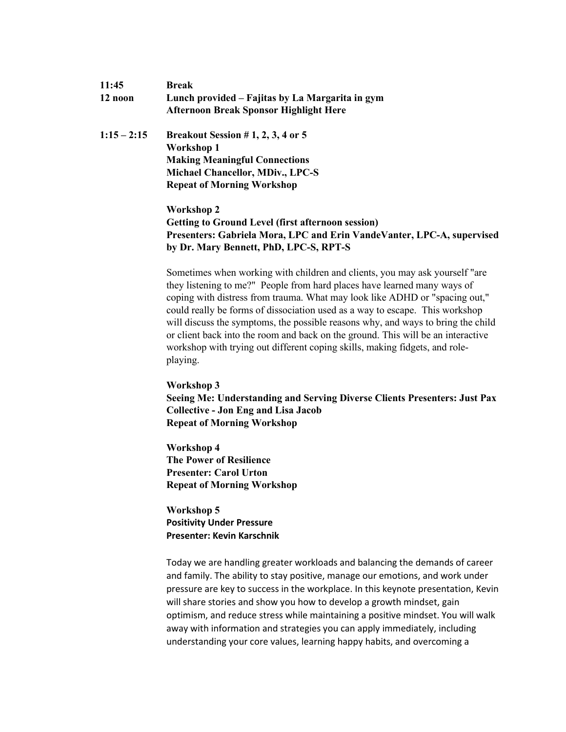| 11:45         | Break                                                                                            |  |  |
|---------------|--------------------------------------------------------------------------------------------------|--|--|
| 12 noon       | Lunch provided – Fajitas by La Margarita in gym<br><b>Afternoon Break Sponsor Highlight Here</b> |  |  |
| $1:15 - 2:15$ | Breakout Session #1, 2, 3, 4 or 5                                                                |  |  |
|               | Workshop 1                                                                                       |  |  |
|               | <b>Making Meaningful Connections</b>                                                             |  |  |
|               | <b>Michael Chancellor, MDiv., LPC-S</b>                                                          |  |  |
|               | <b>Repeat of Morning Workshop</b>                                                                |  |  |
|               |                                                                                                  |  |  |

# **Workshop 2 Getting to Ground Level (first afternoon session) Presenters: Gabriela Mora, LPC and Erin VandeVanter, LPC-A, supervised by Dr. Mary Bennett, PhD, LPC-S, RPT-S**

Sometimes when working with children and clients, you may ask yourself "are they listening to me?" People from hard places have learned many ways of coping with distress from trauma. What may look like ADHD or "spacing out," could really be forms of dissociation used as a way to escape. This workshop will discuss the symptoms, the possible reasons why, and ways to bring the child or client back into the room and back on the ground. This will be an interactive workshop with trying out different coping skills, making fidgets, and roleplaying.

# **Workshop 3 Seeing Me: Understanding and Serving Diverse Clients Presenters: Just Pax Collective - Jon Eng and Lisa Jacob Repeat of Morning Workshop**

**Workshop 4 The Power of Resilience Presenter: Carol Urton Repeat of Morning Workshop**

**Workshop 5 Positivity Under Pressure Presenter: Kevin Karschnik**

Today we are handling greater workloads and balancing the demands of career and family. The ability to stay positive, manage our emotions, and work under pressure are key to success in the workplace. In this keynote presentation, Kevin will share stories and show you how to develop a growth mindset, gain optimism, and reduce stress while maintaining a positive mindset. You will walk away with information and strategies you can apply immediately, including understanding your core values, learning happy habits, and overcoming a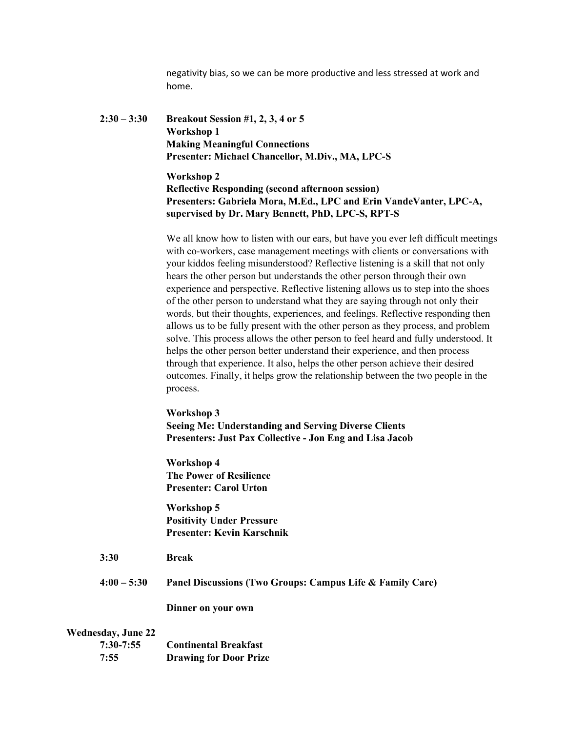negativity bias, so we can be more productive and less stressed at work and home.

**2:30 – 3:30 Breakout Session #1, 2, 3, 4 or 5 Workshop 1 Making Meaningful Connections Presenter: Michael Chancellor, M.Div., MA, LPC-S** 

> **Workshop 2 Reflective Responding (second afternoon session) Presenters: Gabriela Mora, M.Ed., LPC and Erin VandeVanter, LPC-A, supervised by Dr. Mary Bennett, PhD, LPC-S, RPT-S**

We all know how to listen with our ears, but have you ever left difficult meetings with co-workers, case management meetings with clients or conversations with your kiddos feeling misunderstood? Reflective listening is a skill that not only hears the other person but understands the other person through their own experience and perspective. Reflective listening allows us to step into the shoes of the other person to understand what they are saying through not only their words, but their thoughts, experiences, and feelings. Reflective responding then allows us to be fully present with the other person as they process, and problem solve. This process allows the other person to feel heard and fully understood. It helps the other person better understand their experience, and then process through that experience. It also, helps the other person achieve their desired outcomes. Finally, it helps grow the relationship between the two people in the process.

**Workshop 3 Seeing Me: Understanding and Serving Diverse Clients Presenters: Just Pax Collective - Jon Eng and Lisa Jacob** 

**Workshop 4 The Power of Resilience Presenter: Carol Urton**

**Workshop 5 Positivity Under Pressure Presenter: Kevin Karschnik**

- **3:30 Break**
- **4:00 – 5:30 Panel Discussions (Two Groups: Campus Life & Family Care)**

**Dinner on your own**

#### **Wednesday, June 22**

| $7:30-7:55$ | <b>Continental Breakfast</b>  |
|-------------|-------------------------------|
| 7:55        | <b>Drawing for Door Prize</b> |